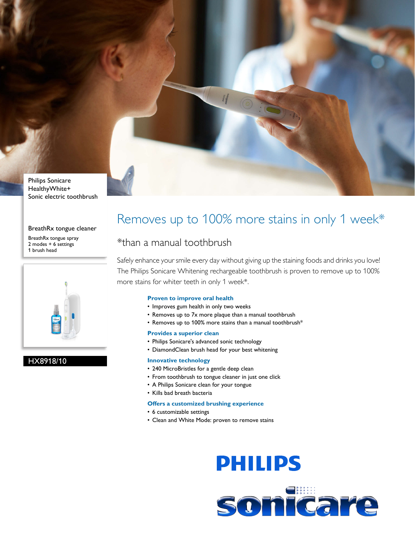

Philips Sonicare HealthyWhite+ Sonic electric toothbrush

#### BreathRx tongue cleaner

BreathRx tongue spray 2 modes + 6 settings 1 brush head



#### HX8918/10

## Removes up to 100% more stains in only 1 week\*

### \*than a manual toothbrush

Safely enhance your smile every day without giving up the staining foods and drinks you love! The Philips Sonicare Whitening rechargeable toothbrush is proven to remove up to 100% more stains for whiter teeth in only 1 week\*.

#### **Proven to improve oral health**

- Improves gum health in only two weeks
- Removes up to 7x more plaque than a manual toothbrush
- Removes up to 100% more stains than a manual toothbrush\*

#### **Provides a superior clean**

- Philips Sonicare's advanced sonic technology
- DiamondClean brush head for your best whitening

#### **Innovative technology**

- 240 MicroBristles for a gentle deep clean
- From toothbrush to tongue cleaner in just one click
- A Philips Sonicare clean for your tongue
- Kills bad breath bacteria

#### **Offers a customized brushing experience**

- 6 customizable settings
- Clean and White Mode: proven to remove stains

# **PHILIPS**

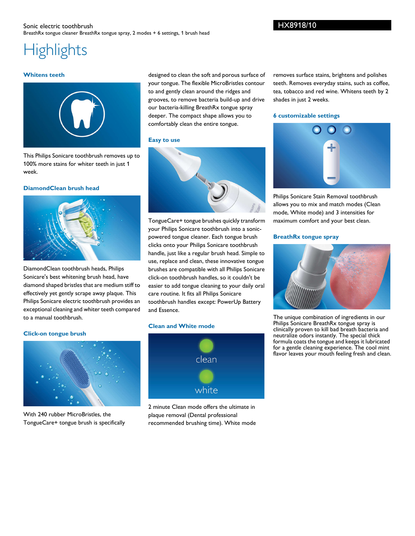#### Sonic electric toothbrush BreathRx tongue cleaner BreathRx tongue spray, 2 modes + 6 settings, 1 brush head

# **Highlights**

#### **Whitens teeth**



This Philips Sonicare toothbrush removes up to 100% more stains for whiter teeth in just 1 week.

#### **DiamondClean brush head**



DiamondClean toothbrush heads, Philips Sonicare's best whitening brush head, have diamond shaped bristles that are medium stiff to effectively yet gently scrape away plaque. This Philips Sonicare electric toothbrush provides an exceptional cleaning and whiter teeth compared to a manual toothbrush.

#### **Click-on tongue brush**



With 240 rubber MicroBristles, the TongueCare+ tongue brush is specifically

designed to clean the soft and porous surface of your tongue. The flexible MicroBristles contour to and gently clean around the ridges and grooves, to remove bacteria build-up and drive our bacteria-killing BreathRx tongue spray deeper. The compact shape allows you to comfortably clean the entire tongue.

#### **Easy to use**



TongueCare+ tongue brushes quickly transform your Philips Sonicare toothbrush into a sonicpowered tongue cleaner. Each tongue brush clicks onto your Philips Sonicare toothbrush handle, just like a regular brush head. Simple to use, replace and clean, these innovative tongue brushes are compatible with all Philips Sonicare click-on toothbrush handles, so it couldn't be easier to add tongue cleaning to your daily oral care routine. It fits all Philips Sonicare toothbrush handles except: PowerUp Battery and Essence.

#### **Clean and White mode**



2 minute Clean mode offers the ultimate in plaque removal (Dental professional recommended brushing time). White mode

removes surface stains, brightens and polishes teeth. Removes everyday stains, such as coffee, tea, tobacco and red wine. Whitens teeth by 2 shades in just 2 weeks.

#### **6 customizable settings**



Philips Sonicare Stain Removal toothbrush allows you to mix and match modes (Clean mode, White mode) and 3 intensities for maximum comfort and your best clean.

#### **BreathRx tongue spray**



The unique combination of ingredients in our Philips Sonicare BreathRx tongue spray is clinically proven to kill bad breath bacteria and neutralize odors instantly. The special thick formula coats the tongue and keeps it lubricated for a gentle cleaning experience. The cool mint flavor leaves your mouth feeling fresh and clean.